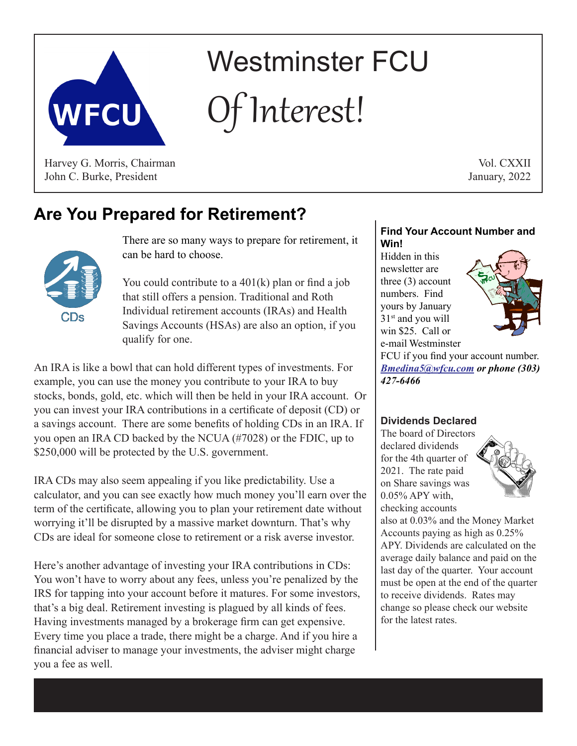

# Westminster FCU Interest!

Harvey G. Morris, Chairman John C. Burke, President

Vol. CXXII January, 2022

## **Are You Prepared for Retirement?**

There are so many ways to prepare for retirement, it can be hard to choose.

You could contribute to a 401(k) plan or find a job that still offers a pension. Traditional and Roth Individual retirement accounts (IRAs) and Health Savings Accounts (HSAs) are also an option, if you qualify for one.

An IRA is like a bowl that can hold different types of investments. For example, you can use the money you contribute to your IRA to buy stocks, bonds, gold, etc. which will then be held in your IRA account. Or you can invest your IRA contributions in a certificate of deposit (CD) or a savings account. There are some benefits of holding CDs in an IRA. If you open an IRA CD backed by the NCUA (#7028) or the FDIC, up to \$250,000 will be protected by the U.S. government.

IRA CDs may also seem appealing if you like predictability. Use a calculator, and you can see exactly how much money you'll earn over the term of the certificate, allowing you to plan your retirement date without worrying it'll be disrupted by a massive market downturn. That's why CDs are ideal for someone close to retirement or a risk averse investor.

Here's another advantage of investing your IRA contributions in CDs: You won't have to worry about any fees, unless you're penalized by the IRS for tapping into your account before it matures. For some investors, that's a big deal. Retirement investing is plagued by all kinds of fees. Having investments managed by a brokerage firm can get expensive. Every time you place a trade, there might be a charge. And if you hire a financial adviser to manage your investments, the adviser might charge you a fee as well.

#### **Find Your Account Number and Win!**

Hidden in this newsletter are three (3) account numbers. Find yours by January 31<sup>st</sup> and you will win \$25. Call or e-mail Westminster



FCU if you find your account number. *Bmedina5@wfcu.com or phone (303) 427-6466*

### **Dividends Declared**

The board of Directors declared dividends for the 4th quarter of 2021. The rate paid on Share savings was 0.05% APY with, checking accounts



also at 0.03% and the Money Market Accounts paying as high as 0.25% APY. Dividends are calculated on the average daily balance and paid on the last day of the quarter. Your account must be open at the end of the quarter to receive dividends. Rates may change so please check our website for the latest rates.